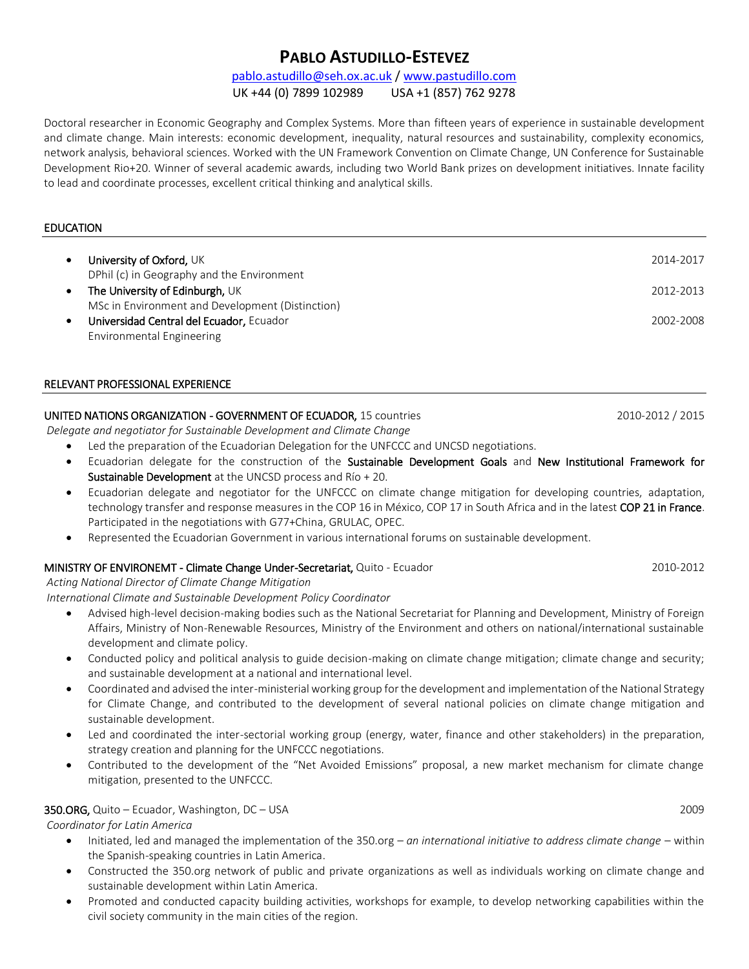# **PABLO ASTUDILLO-ESTEVEZ**

## [pablo.astudillo@seh.ox.ac.uk](mailto:pablo.astudillo@seh.ox.ac.uk) / [www.pastudillo.com](http://www.pastudillo.com/)

UK +44 (0) 7899 102989 USA +1 (857) 762 9278

Doctoral researcher in Economic Geography and Complex Systems. More than fifteen years of experience in sustainable development and climate change. Main interests: economic development, inequality, natural resources and sustainability, complexity economics, network analysis, behavioral sciences. Worked with the UN Framework Convention on Climate Change, UN Conference for Sustainable Development Rio+20. Winner of several academic awards, including two World Bank prizes on development initiatives. Innate facility to lead and coordinate processes, excellent critical thinking and analytical skills.

## EDUCATION

| $\bullet$ | University of Oxford, UK<br>DPhil (c) in Geography and the Environment | 2014-2017 |
|-----------|------------------------------------------------------------------------|-----------|
| $\bullet$ | The University of Edinburgh, UK                                        | 2012-2013 |
|           | MSc in Environment and Development (Distinction)                       |           |
| $\bullet$ | Universidad Central del Ecuador, Ecuador<br>Environmental Engineering  | 2002-2008 |

#### RELEVANT PROFESSIONAL EXPERIENCE

## UNITED NATIONS ORGANIZATION - GOVERNMENT OF ECUADOR, 15 countries 2010-2012 / 2015

*Delegate and negotiator for Sustainable Development and Climate Change*

- Led the preparation of the Ecuadorian Delegation for the UNFCCC and UNCSD negotiations.
- Ecuadorian delegate for the construction of the Sustainable Development Goals and New Institutional Framework for Sustainable Development at the UNCSD process and Río + 20.
- Ecuadorian delegate and negotiator for the UNFCCC on climate change mitigation for developing countries, adaptation, technology transfer and response measures in the COP 16 in México, COP 17 in South Africa and in the latest COP 21 in France. Participated in the negotiations with G77+China, GRULAC, OPEC.
- Represented the Ecuadorian Government in various international forums on sustainable development.

#### MINISTRY OF ENVIRONEMT - Climate Change Under-Secretariat, Quito - Ecuador 2010-2012

#### *Acting National Director of Climate Change Mitigation*

*International Climate and Sustainable Development Policy Coordinator* 

- Advised high-level decision-making bodies such as the National Secretariat for Planning and Development, Ministry of Foreign Affairs, Ministry of Non-Renewable Resources, Ministry of the Environment and others on national/international sustainable development and climate policy.
- Conducted policy and political analysis to guide decision-making on climate change mitigation; climate change and security; and sustainable development at a national and international level.
- Coordinated and advised the inter-ministerial working group for the development and implementation of the National Strategy for Climate Change, and contributed to the development of several national policies on climate change mitigation and sustainable development.
- Led and coordinated the inter-sectorial working group (energy, water, finance and other stakeholders) in the preparation, strategy creation and planning for the UNFCCC negotiations.
- Contributed to the development of the "Net Avoided Emissions" proposal, a new market mechanism for climate change mitigation, presented to the UNFCCC.

#### 350.ORG, Quito – Ecuador, Washington, DC – USA 2009

*Coordinator for Latin America*

- Initiated, led and managed the implementation of the 350.org *– an international initiative to address climate change* within the Spanish-speaking countries in Latin America.
- Constructed the 350.org network of public and private organizations as well as individuals working on climate change and sustainable development within Latin America.
- Promoted and conducted capacity building activities, workshops for example, to develop networking capabilities within the civil society community in the main cities of the region.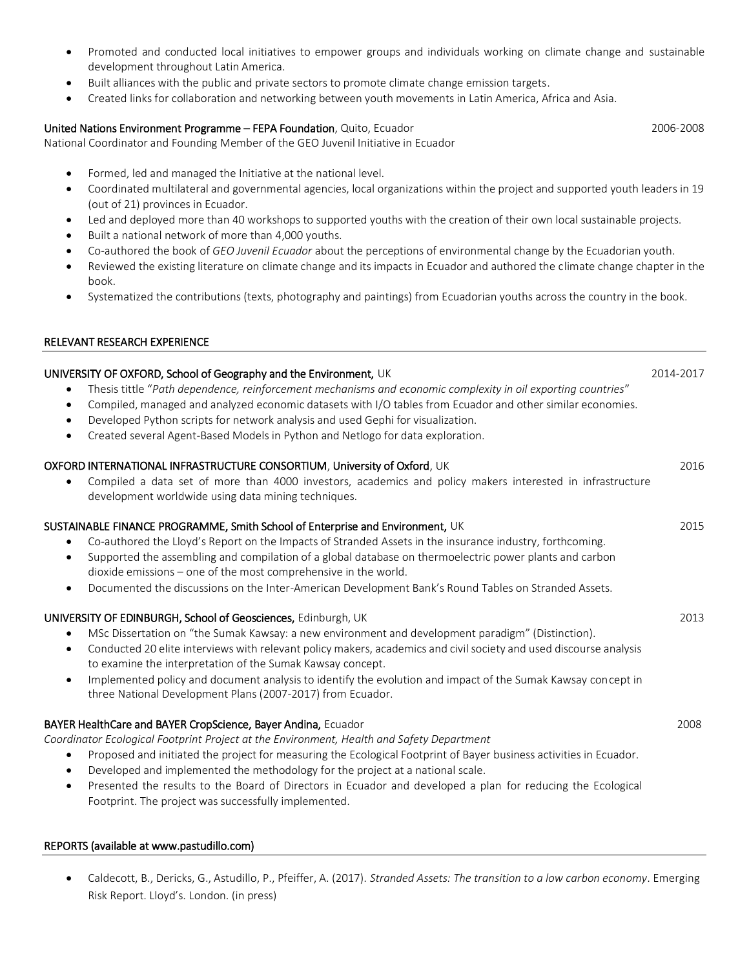- Promoted and conducted local initiatives to empower groups and individuals working on climate change and sustainable development throughout Latin America.
- Built alliances with the public and private sectors to promote climate change emission targets.
- Created links for collaboration and networking between youth movements in Latin America, Africa and Asia.

## United Nations Environment Programme – FEPA Foundation, Quito, Ecuador 2006-2008

National Coordinator and Founding Member of the GEO Juvenil Initiative in Ecuador

- Formed, led and managed the Initiative at the national level.
- Coordinated multilateral and governmental agencies, local organizations within the project and supported youth leaders in 19 (out of 21) provinces in Ecuador.
- Led and deployed more than 40 workshops to supported youths with the creation of their own local sustainable projects.
- Built a national network of more than 4,000 youths.
- Co-authored the book of *GEO Juvenil Ecuador* about the perceptions of environmental change by the Ecuadorian youth.
- Reviewed the existing literature on climate change and its impacts in Ecuador and authored the climate change chapter in the book.
- Systematized the contributions (texts, photography and paintings) from Ecuadorian youths across the country in the book.

#### RELEVANT RESEARCH EXPERIENCE

# UNIVERSITY OF OXFORD, School of Geography and the Environment, UK 2014-2017 Thesis tittle "*Path dependence, reinforcement mechanisms and economic complexity in oil exporting countries*" Compiled, managed and analyzed economic datasets with I/O tables from Ecuador and other similar economies. Developed Python scripts for network analysis and used Gephi for visualization. Created several Agent-Based Models in Python and Netlogo for data exploration. OXFORD INTERNATIONAL INFRASTRUCTURE CONSORTIUM, University of Oxford, UK 2016 Compiled a data set of more than 4000 investors, academics and policy makers interested in infrastructure development worldwide using data mining techniques. SUSTAINABLE FINANCE PROGRAMME, Smith School of Enterprise and Environment, UK 2015 Co-authored the Lloyd's Report on the Impacts of Stranded Assets in the insurance industry, forthcoming. Supported the assembling and compilation of a global database on thermoelectric power plants and carbon dioxide emissions – one of the most comprehensive in the world. Documented the discussions on the Inter-American Development Bank's Round Tables on Stranded Assets. UNIVERSITY OF EDINBURGH, School of Geosciences, Edinburgh, UK 2013 MSc Dissertation on "the Sumak Kawsay: a new environment and development paradigm" (Distinction). Conducted 20 elite interviews with relevant policy makers, academics and civil society and used discourse analysis to examine the interpretation of the Sumak Kawsay concept. Implemented policy and document analysis to identify the evolution and impact of the Sumak Kawsay concept in three National Development Plans (2007-2017) from Ecuador. BAYER HealthCare and BAYER CropScience, Bayer Andina, Ecuador 2008 *Coordinator Ecological Footprint Project at the Environment, Health and Safety Department* Proposed and initiated the project for measuring the Ecological Footprint of Bayer business activities in Ecuador. Developed and implemented the methodology for the project at a national scale. Presented the results to the Board of Directors in Ecuador and developed a plan for reducing the Ecological Footprint. The project was successfully implemented.

#### REPORTS (available at www.pastudillo.com)

 Caldecott, B., Dericks, G., Astudillo, P., Pfeiffer, A. (2017). *Stranded Assets: The transition to a low carbon economy*. Emerging Risk Report. Lloyd's. London. (in press)